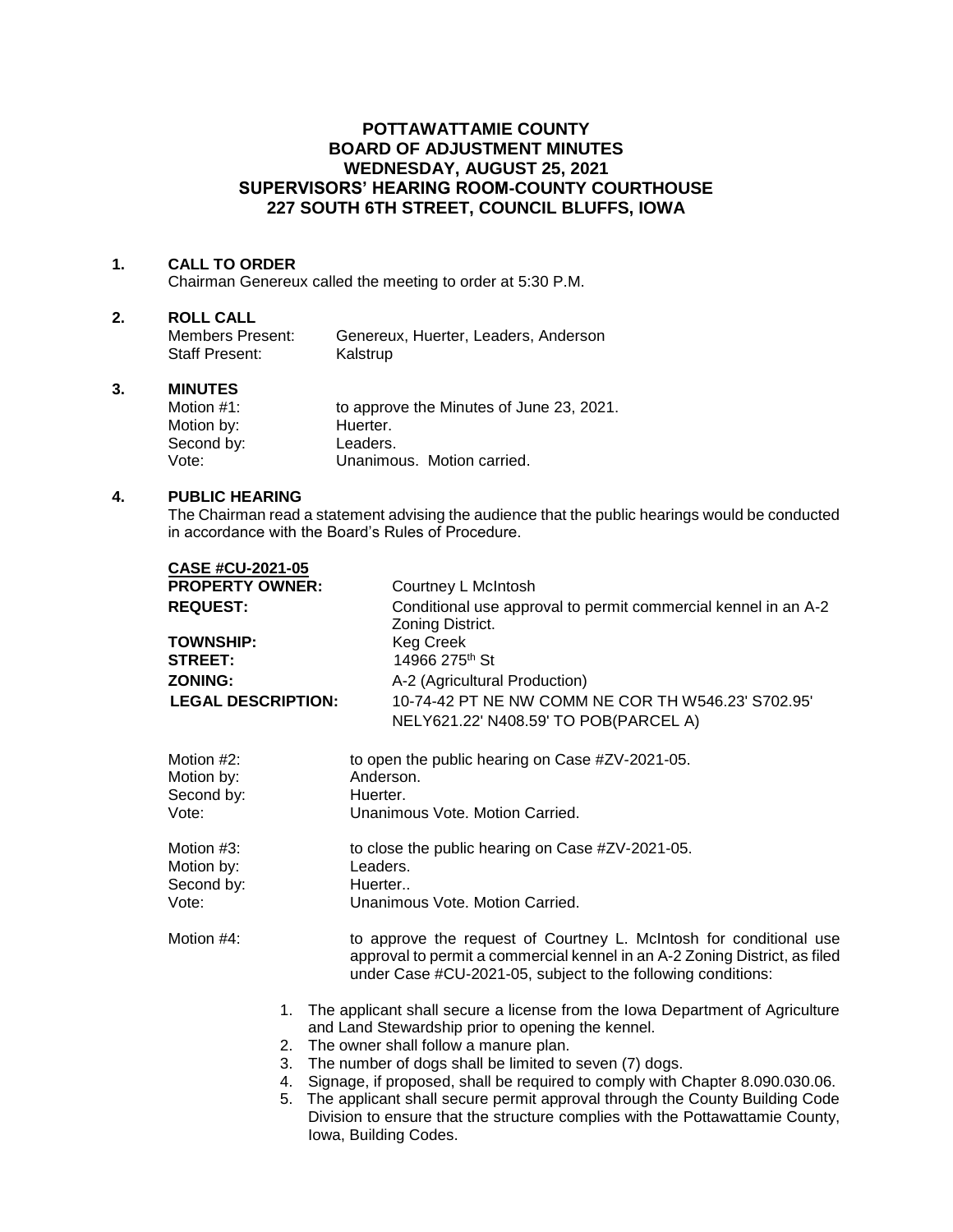# **POTTAWATTAMIE COUNTY BOARD OF ADJUSTMENT MINUTES WEDNESDAY, AUGUST 25, 2021 SUPERVISORS' HEARING ROOM-COUNTY COURTHOUSE 227 SOUTH 6TH STREET, COUNCIL BLUFFS, IOWA**

## **1. CALL TO ORDER**

Chairman Genereux called the meeting to order at 5:30 P.M.

#### **2. ROLL CALL**

| Members Present: | Genereux, Huerter, Leaders, Anderson |
|------------------|--------------------------------------|
| Staff Present:   | Kalstrup                             |

# **3. MINUTES**

| Motion $#1$ : | to approve the Minutes of June 23, 2021. |
|---------------|------------------------------------------|
| Motion by:    | Huerter.                                 |
| Second by:    | Leaders.                                 |
| Vote:         | Unanimous. Motion carried.               |

### **4. PUBLIC HEARING**

The Chairman read a statement advising the audience that the public hearings would be conducted in accordance with the Board's Rules of Procedure.

| <b>CASE #CU-2021-05</b>   |                                                                                                                                                                                                                  |
|---------------------------|------------------------------------------------------------------------------------------------------------------------------------------------------------------------------------------------------------------|
| <b>PROPERTY OWNER:</b>    | Courtney L McIntosh                                                                                                                                                                                              |
| <b>REQUEST:</b>           | Conditional use approval to permit commercial kennel in an A-2<br>Zoning District.                                                                                                                               |
| <b>TOWNSHIP:</b>          | <b>Keg Creek</b>                                                                                                                                                                                                 |
| <b>STREET:</b>            | 14966 275 <sup>th</sup> St                                                                                                                                                                                       |
| <b>ZONING:</b>            | A-2 (Agricultural Production)                                                                                                                                                                                    |
| <b>LEGAL DESCRIPTION:</b> | 10-74-42 PT NE NW COMM NE COR TH W546.23' S702.95'                                                                                                                                                               |
|                           | NELY621.22' N408.59' TO POB(PARCEL A)                                                                                                                                                                            |
| Motion #2:<br>Motion by:  | to open the public hearing on Case #ZV-2021-05.<br>Anderson.                                                                                                                                                     |
| Second by:                | Huerter.                                                                                                                                                                                                         |
| Vote:                     | Unanimous Vote, Motion Carried.                                                                                                                                                                                  |
| Motion #3:                | to close the public hearing on Case #ZV-2021-05.                                                                                                                                                                 |
| Motion by:                | Leaders.                                                                                                                                                                                                         |
| Second by:                | Huerter                                                                                                                                                                                                          |
| Vote:                     | Unanimous Vote, Motion Carried.                                                                                                                                                                                  |
| Motion #4:                | to approve the request of Courtney L. McIntosh for conditional use<br>approval to permit a commercial kennel in an A-2 Zoning District, as filed<br>under Case #CU-2021-05, subject to the following conditions: |
|                           | 1. The applicant shall secure a license from the lowa Department of Agriculture                                                                                                                                  |
|                           | and Land Stewardship prior to opening the kennel.                                                                                                                                                                |
|                           | 2. The owner shall follow a manure plan.                                                                                                                                                                         |
|                           | 3. The number of dogs shall be limited to seven (7) dogs.<br>4. Signage, if proposed, shall be required to comply with Chapter 8.090.030.06.                                                                     |
| 5.                        | The applicant shall secure permit approval through the County Building Code                                                                                                                                      |
|                           | Division to ensure that the structure complies with the Pottawattamie County,<br>Iowa, Building Codes.                                                                                                           |